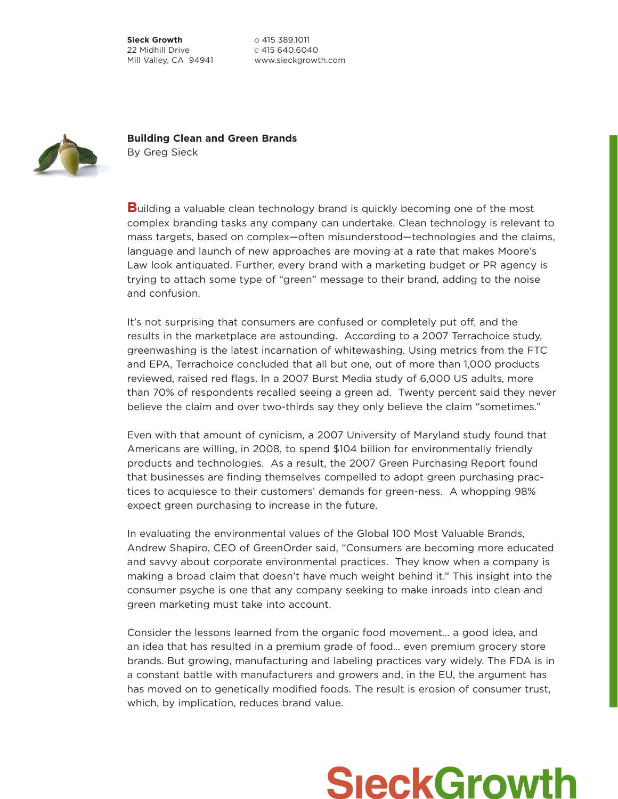**Sieck Growth** 22 Midhill Drive Mill Valley, CA 94941

o 415 389.1011 c 415 640.6040 www.sieckgrowth.com



**Building Clean and Green Brands** By Greg Sieck

**Building a valuable clean technology brand is quickly becoming one of the most** complex branding tasks any company can undertake. Clean technology is relevant to mass targets, based on complex—often misunderstood—technologies and the claims, language and launch of new approaches are moving at a rate that makes Moore's Law look antiquated. Further, every brand with a marketing budget or PR agency is trying to attach some type of "green" message to their brand, adding to the noise and confusion.

It's not surprising that consumers are confused or completely put off, and the results in the marketplace are astounding. According to a 2007 Terrachoice study, greenwashing is the latest incarnation of whitewashing. Using metrics from the FTC and EPA, Terrachoice concluded that all but one, out of more than 1,000 products reviewed, raised red flags. In a 2007 Burst Media study of 6,000 US adults, more than 70% of respondents recalled seeing a green ad. Twenty percent said they never believe the claim and over two-thirds say they only believe the claim "sometimes."

Even with that amount of cynicism, a 2007 University of Maryland study found that Americans are willing, in 2008, to spend \$104 billion for environmentally friendly products and technologies. As a result, the 2007 Green Purchasing Report found that businesses are finding themselves compelled to adopt green purchasing practices to acquiesce to their customers' demands for green-ness. A whopping 98% expect green purchasing to increase in the future.

In evaluating the environmental values of the Global 100 Most Valuable Brands, Andrew Shapiro, CEO of GreenOrder said, "Consumers are becoming more educated and savvy about corporate environmental practices. They know when a company is making a broad claim that doesn't have much weight behind it." This insight into the consumer psyche is one that any company seeking to make inroads into clean and green marketing must take into account.

Consider the lessons learned from the organic food movement… a good idea, and an idea that has resulted in a premium grade of food… even premium grocery store brands. But growing, manufacturing and labeling practices vary widely. The FDA is in a constant battle with manufacturers and growers and, in the EU, the argument has has moved on to genetically modified foods. The result is erosion of consumer trust, which, by implication, reduces brand value.

## **SieckGrowth**